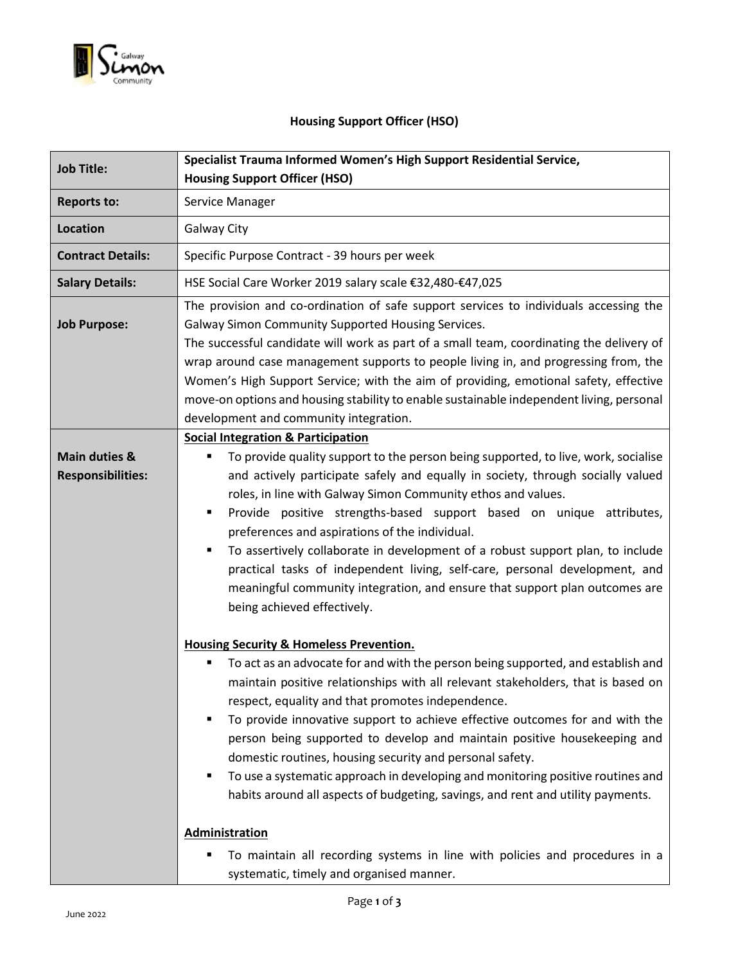

## **Housing Support Officer (HSO)**

| <b>Job Title:</b>                                    | Specialist Trauma Informed Women's High Support Residential Service,                                                                                                                                                                                                                                                                                                                                                                                                                                                                                                                                                                                                                                                                                                                                                                 |
|------------------------------------------------------|--------------------------------------------------------------------------------------------------------------------------------------------------------------------------------------------------------------------------------------------------------------------------------------------------------------------------------------------------------------------------------------------------------------------------------------------------------------------------------------------------------------------------------------------------------------------------------------------------------------------------------------------------------------------------------------------------------------------------------------------------------------------------------------------------------------------------------------|
|                                                      | <b>Housing Support Officer (HSO)</b>                                                                                                                                                                                                                                                                                                                                                                                                                                                                                                                                                                                                                                                                                                                                                                                                 |
| <b>Reports to:</b>                                   | Service Manager                                                                                                                                                                                                                                                                                                                                                                                                                                                                                                                                                                                                                                                                                                                                                                                                                      |
| <b>Location</b>                                      | <b>Galway City</b>                                                                                                                                                                                                                                                                                                                                                                                                                                                                                                                                                                                                                                                                                                                                                                                                                   |
| <b>Contract Details:</b>                             | Specific Purpose Contract - 39 hours per week                                                                                                                                                                                                                                                                                                                                                                                                                                                                                                                                                                                                                                                                                                                                                                                        |
| <b>Salary Details:</b>                               | HSE Social Care Worker 2019 salary scale €32,480-€47,025                                                                                                                                                                                                                                                                                                                                                                                                                                                                                                                                                                                                                                                                                                                                                                             |
| <b>Job Purpose:</b>                                  | The provision and co-ordination of safe support services to individuals accessing the<br>Galway Simon Community Supported Housing Services.<br>The successful candidate will work as part of a small team, coordinating the delivery of<br>wrap around case management supports to people living in, and progressing from, the<br>Women's High Support Service; with the aim of providing, emotional safety, effective<br>move-on options and housing stability to enable sustainable independent living, personal                                                                                                                                                                                                                                                                                                                   |
|                                                      | development and community integration.                                                                                                                                                                                                                                                                                                                                                                                                                                                                                                                                                                                                                                                                                                                                                                                               |
| <b>Main duties &amp;</b><br><b>Responsibilities:</b> | <b>Social Integration &amp; Participation</b><br>To provide quality support to the person being supported, to live, work, socialise<br>٠<br>and actively participate safely and equally in society, through socially valued<br>roles, in line with Galway Simon Community ethos and values.<br>Provide positive strengths-based support based on unique attributes,<br>٠<br>preferences and aspirations of the individual.<br>To assertively collaborate in development of a robust support plan, to include<br>п<br>practical tasks of independent living, self-care, personal development, and<br>meaningful community integration, and ensure that support plan outcomes are<br>being achieved effectively.                                                                                                                       |
|                                                      | <b>Housing Security &amp; Homeless Prevention.</b><br>To act as an advocate for and with the person being supported, and establish and<br>п<br>maintain positive relationships with all relevant stakeholders, that is based on<br>respect, equality and that promotes independence.<br>To provide innovative support to achieve effective outcomes for and with the<br>person being supported to develop and maintain positive housekeeping and<br>domestic routines, housing security and personal safety.<br>To use a systematic approach in developing and monitoring positive routines and<br>п<br>habits around all aspects of budgeting, savings, and rent and utility payments.<br>Administration<br>To maintain all recording systems in line with policies and procedures in a<br>systematic, timely and organised manner. |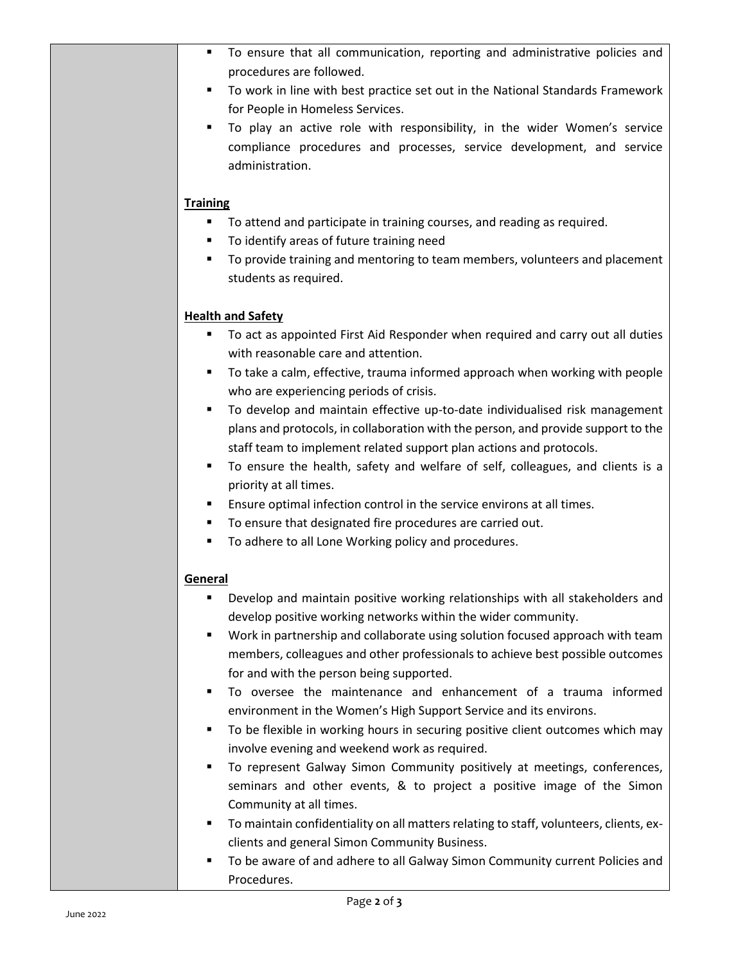| п                        | To ensure that all communication, reporting and administrative policies and                                |  |  |
|--------------------------|------------------------------------------------------------------------------------------------------------|--|--|
| ٠                        | procedures are followed.<br>To work in line with best practice set out in the National Standards Framework |  |  |
|                          | for People in Homeless Services.                                                                           |  |  |
|                          | To play an active role with responsibility, in the wider Women's service                                   |  |  |
|                          | compliance procedures and processes, service development, and service                                      |  |  |
|                          | administration.                                                                                            |  |  |
|                          |                                                                                                            |  |  |
|                          | <b>Training</b>                                                                                            |  |  |
| ٠                        | To attend and participate in training courses, and reading as required.                                    |  |  |
| ٠                        | To identify areas of future training need                                                                  |  |  |
| ٠                        | To provide training and mentoring to team members, volunteers and placement                                |  |  |
|                          | students as required.                                                                                      |  |  |
| <b>Health and Safety</b> |                                                                                                            |  |  |
| ٠                        | To act as appointed First Aid Responder when required and carry out all duties                             |  |  |
|                          | with reasonable care and attention.                                                                        |  |  |
| ٠                        | To take a calm, effective, trauma informed approach when working with people                               |  |  |
|                          | who are experiencing periods of crisis.                                                                    |  |  |
| ٠                        | To develop and maintain effective up-to-date individualised risk management                                |  |  |
|                          | plans and protocols, in collaboration with the person, and provide support to the                          |  |  |
|                          | staff team to implement related support plan actions and protocols.                                        |  |  |
| ٠                        | To ensure the health, safety and welfare of self, colleagues, and clients is a                             |  |  |
|                          | priority at all times.                                                                                     |  |  |
| ٠                        | Ensure optimal infection control in the service environs at all times.                                     |  |  |
|                          | To ensure that designated fire procedures are carried out.                                                 |  |  |
| ٠                        | To adhere to all Lone Working policy and procedures.                                                       |  |  |
| General                  |                                                                                                            |  |  |
|                          | Develop and maintain positive working relationships with all stakeholders and                              |  |  |
|                          | develop positive working networks within the wider community.                                              |  |  |
| ٠                        | Work in partnership and collaborate using solution focused approach with team                              |  |  |
|                          | members, colleagues and other professionals to achieve best possible outcomes                              |  |  |
|                          | for and with the person being supported.                                                                   |  |  |
| ٠                        | To oversee the maintenance and enhancement of a trauma informed                                            |  |  |
|                          | environment in the Women's High Support Service and its environs.                                          |  |  |
| п                        | To be flexible in working hours in securing positive client outcomes which may                             |  |  |
|                          | involve evening and weekend work as required.                                                              |  |  |
| ٠                        | To represent Galway Simon Community positively at meetings, conferences,                                   |  |  |
|                          | seminars and other events, & to project a positive image of the Simon                                      |  |  |
|                          | Community at all times.                                                                                    |  |  |
| ٠                        | To maintain confidentiality on all matters relating to staff, volunteers, clients, ex-                     |  |  |
|                          | clients and general Simon Community Business.                                                              |  |  |
|                          | To be aware of and adhere to all Galway Simon Community current Policies and<br>Procedures.                |  |  |
|                          |                                                                                                            |  |  |